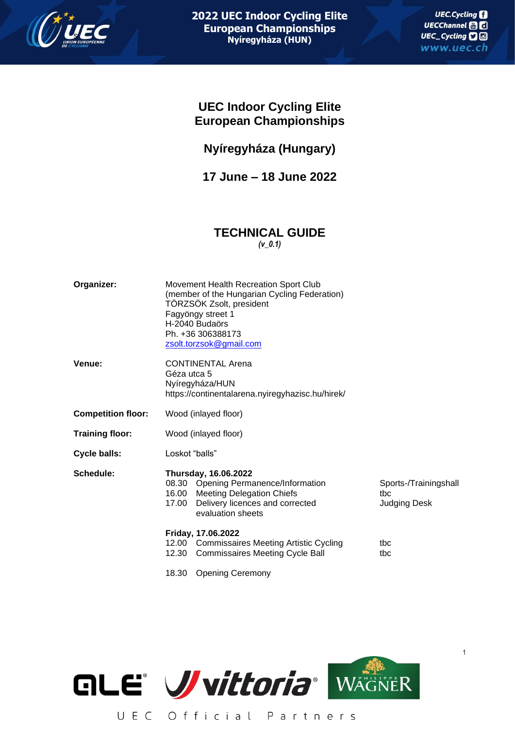

1

# **UEC Indoor Cycling Elite European Championships**

**Nyíregyháza (Hungary)**

**17 June – 18 June 2022**

# **TECHNICAL GUIDE** *(v\_0.1)*

| Organizer:                | Movement Health Recreation Sport Club<br>(member of the Hungarian Cycling Federation)<br>TÖRZSÖK Zsolt, president<br>Fagyöngy street 1<br>H-2040 Budaörs<br>Ph. +36 306388173<br>zsolt.torzsok@gmail.com |                                                     |  |  |
|---------------------------|----------------------------------------------------------------------------------------------------------------------------------------------------------------------------------------------------------|-----------------------------------------------------|--|--|
| Venue:                    | <b>CONTINENTAL Arena</b><br>Géza utca 5<br>Nyíregyháza/HUN<br>https://continentalarena.nyiregyhazisc.hu/hirek/                                                                                           |                                                     |  |  |
| <b>Competition floor:</b> | Wood (inlayed floor)                                                                                                                                                                                     |                                                     |  |  |
| <b>Training floor:</b>    | Wood (inlayed floor)                                                                                                                                                                                     |                                                     |  |  |
| Cycle balls:              | Loskot "balls"                                                                                                                                                                                           |                                                     |  |  |
| Schedule:                 | Thursday, 16.06.2022<br>08.30 Opening Permanence/Information<br>16.00 Meeting Delegation Chiefs<br>Delivery licences and corrected<br>17.00<br>evaluation sheets                                         | Sports-/Trainingshall<br>tbc<br><b>Judging Desk</b> |  |  |
|                           | Friday, 17.06.2022<br>12.00 Commissaires Meeting Artistic Cycling<br>12.30<br><b>Commissaires Meeting Cycle Ball</b>                                                                                     | tbc<br>tbc                                          |  |  |
|                           | 18.30<br><b>Opening Ceremony</b>                                                                                                                                                                         |                                                     |  |  |



UEC Official Partners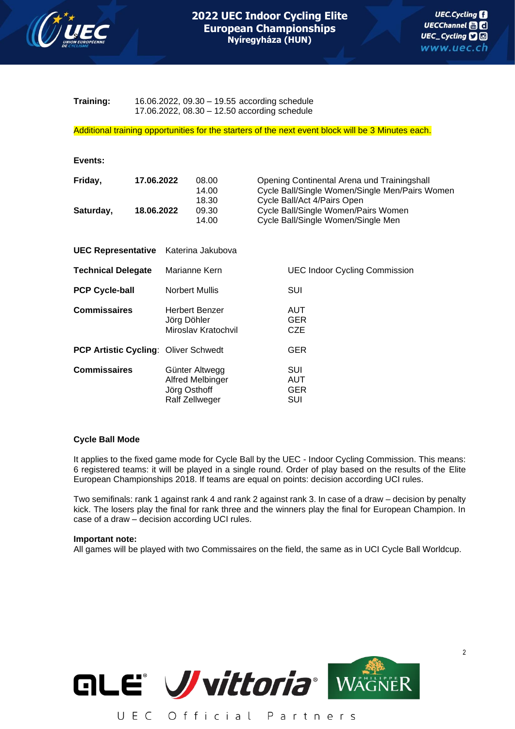

**Training:** 16.06.2022, 09.30 – 19.55 according schedule 17.06.2022, 08.30 – 12.50 according schedule

Additional training opportunities for the starters of the next event block will be 3 Minutes each.

| Events:                   |                          |                                                                      |                                                                                                                                                                                                           |
|---------------------------|--------------------------|----------------------------------------------------------------------|-----------------------------------------------------------------------------------------------------------------------------------------------------------------------------------------------------------|
| Friday,<br>Saturday,      | 17.06.2022<br>18.06.2022 | 08.00<br>14.00<br>18.30<br>09.30<br>14.00                            | Opening Continental Arena und Trainingshall<br>Cycle Ball/Single Women/Single Men/Pairs Women<br>Cycle Ball/Act 4/Pairs Open<br>Cycle Ball/Single Women/Pairs Women<br>Cycle Ball/Single Women/Single Men |
|                           |                          | UEC Representative Katerina Jakubova                                 |                                                                                                                                                                                                           |
| <b>Technical Delegate</b> |                          | Marianne Kern                                                        | <b>UEC Indoor Cycling Commission</b>                                                                                                                                                                      |
| <b>PCP Cycle-ball</b>     |                          | <b>Norbert Mullis</b>                                                | SUI                                                                                                                                                                                                       |
| <b>Commissaires</b>       |                          | <b>Herbert Benzer</b><br>Jörg Döhler<br>Miroslav Kratochvil          | <b>AUT</b><br><b>GER</b><br><b>CZE</b>                                                                                                                                                                    |
|                           |                          | PCP Artistic Cycling: Oliver Schwedt                                 | <b>GER</b>                                                                                                                                                                                                |
| <b>Commissaires</b>       |                          | Günter Altwegg<br>Alfred Melbinger<br>Jörg Osthoff<br>Ralf Zellweger | SUI<br>AUT<br><b>GER</b><br>SUI                                                                                                                                                                           |

## **Cycle Ball Mode**

It applies to the fixed game mode for Cycle Ball by the UEC - Indoor Cycling Commission. This means: 6 registered teams: it will be played in a single round. Order of play based on the results of the Elite European Championships 2018. If teams are equal on points: decision according UCI rules.

Two semifinals: rank 1 against rank 4 and rank 2 against rank 3. In case of a draw – decision by penalty kick. The losers play the final for rank three and the winners play the final for European Champion. In case of a draw – decision according UCI rules.

#### **Important note:**

All games will be played with two Commissaires on the field, the same as in UCI Cycle Ball Worldcup.



UEC Official Partners

2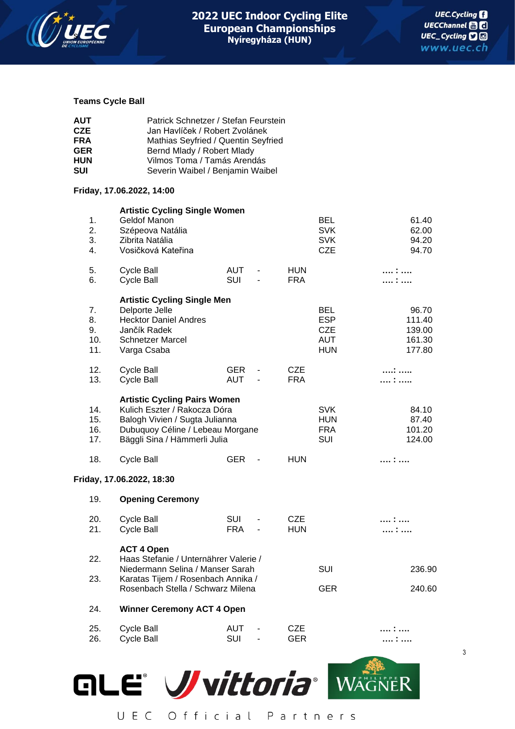

3

### **Teams Cycle Ball**

| AUT  | Patrick Schnetzer / Stefan Feurstein |
|------|--------------------------------------|
| CZE. | Jan Havlíček / Robert Zvolánek       |
| FRA  | Mathias Seyfried / Quentin Seyfried  |
| GER  | Bernd Mlady / Robert Mlady           |
| HUN  | Vilmos Toma / Tamás Arendás          |
| SUI  | Severin Waibel / Benjamin Waibel     |

### **Friday, 17.06.2022, 14:00**

| 1.<br>2.<br>3.<br>4.         | <b>Artistic Cycling Single Women</b><br>Geldof Manon<br>Szépeova Natália<br>Zibrita Natália<br>Vosičková Kateřina                                                         |                          |                              |                          | <b>BEL</b><br><b>SVK</b><br><b>SVK</b><br><b>CZE</b>               | 61.40<br>62.00<br>94.20<br>94.70              |
|------------------------------|---------------------------------------------------------------------------------------------------------------------------------------------------------------------------|--------------------------|------------------------------|--------------------------|--------------------------------------------------------------------|-----------------------------------------------|
| 5.<br>6.                     | <b>Cycle Ball</b><br><b>Cycle Ball</b>                                                                                                                                    | <b>AUT</b><br>SUI        | $\overline{a}$               | <b>HUN</b><br><b>FRA</b> |                                                                    | .<br>.                                        |
| 7.<br>8.<br>9.<br>10.<br>11. | <b>Artistic Cycling Single Men</b><br>Delporte Jelle<br><b>Hecktor Daniel Andres</b><br>Jančík Radek<br><b>Schnetzer Marcel</b><br>Varga Csaba                            |                          |                              |                          | <b>BEL</b><br><b>ESP</b><br><b>CZE</b><br><b>AUT</b><br><b>HUN</b> | 96.70<br>111.40<br>139.00<br>161.30<br>177.80 |
| 12.<br>13.                   | <b>Cycle Ball</b><br><b>Cycle Ball</b>                                                                                                                                    | <b>GER</b><br><b>AUT</b> | $\qquad \qquad \blacksquare$ | <b>CZE</b><br><b>FRA</b> |                                                                    | .<br>:                                        |
| 14.<br>15.<br>16.<br>17.     | <b>Artistic Cycling Pairs Women</b><br>Kulich Eszter / Rakocza Dóra<br>Balogh Vivien / Sugta Julianna<br>Dubuquoy Céline / Lebeau Morgane<br>Bäggli Sina / Hämmerli Julia |                          |                              |                          | <b>SVK</b><br><b>HUN</b><br><b>FRA</b><br>SUI                      | 84.10<br>87.40<br>101.20<br>124.00            |
| 18.                          | <b>Cycle Ball</b>                                                                                                                                                         | <b>GER</b>               | $\blacksquare$               | <b>HUN</b>               |                                                                    | :                                             |
|                              | Friday, 17.06.2022, 18:30                                                                                                                                                 |                          |                              |                          |                                                                    |                                               |
| 19.                          | <b>Opening Ceremony</b>                                                                                                                                                   |                          |                              |                          |                                                                    |                                               |
| 20.<br>21.                   | <b>Cycle Ball</b><br><b>Cycle Ball</b>                                                                                                                                    | SUI<br><b>FRA</b>        | ÷<br>$\overline{a}$          | <b>CZE</b><br><b>HUN</b> |                                                                    | :                                             |
| 22.<br>23.                   | <b>ACT 4 Open</b><br>Haas Stefanie / Unternährer Valerie /<br>Niedermann Selina / Manser Sarah<br>Karatas Tijem / Rosenbach Annika /<br>Rosenbach Stella / Schwarz Milena |                          |                              |                          | SUI<br><b>GER</b>                                                  | 236.90<br>240.60                              |
| 24.                          | <b>Winner Ceremony ACT 4 Open</b>                                                                                                                                         |                          |                              |                          |                                                                    |                                               |
| 25.<br>26.                   | <b>Cycle Ball</b><br><b>Cycle Ball</b>                                                                                                                                    | <b>AUT</b><br>SUI        | $\overline{\phantom{0}}$     | CZE<br><b>GER</b>        |                                                                    |                                               |
|                              |                                                                                                                                                                           |                          |                              |                          |                                                                    |                                               |

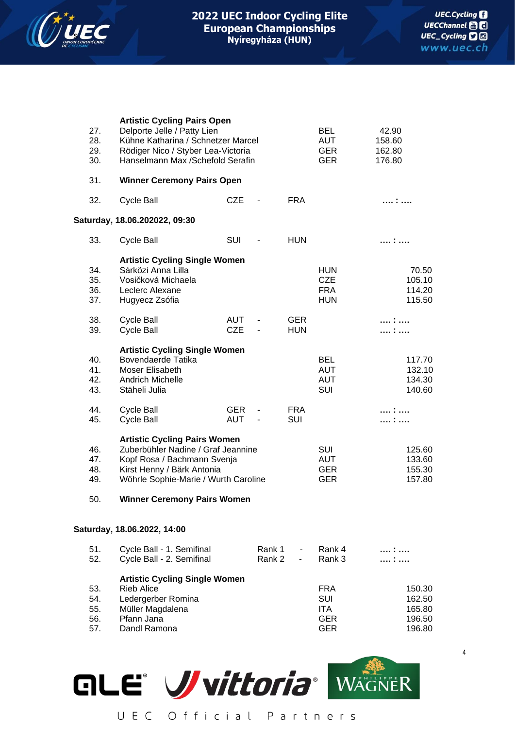

| 27.<br>28.<br>29.<br>30.        | <b>Artistic Cycling Pairs Open</b><br>Delporte Jelle / Patty Lien<br>Kühne Katharina / Schnetzer Marcel<br>Rödiger Nico / Styber Lea-Victoria<br>Hanselmann Max /Schefold Serafin                                    |                          |                                  | <b>BEL</b><br><b>AUT</b><br><b>GER</b><br><b>GER</b> | 42.90<br>158.60<br>162.80<br>176.80                         |                                                |
|---------------------------------|----------------------------------------------------------------------------------------------------------------------------------------------------------------------------------------------------------------------|--------------------------|----------------------------------|------------------------------------------------------|-------------------------------------------------------------|------------------------------------------------|
| 31.                             | <b>Winner Ceremony Pairs Open</b>                                                                                                                                                                                    |                          |                                  |                                                      |                                                             |                                                |
| 32.                             | <b>Cycle Ball</b>                                                                                                                                                                                                    | <b>CZE</b>               | $\overline{\phantom{a}}$         | <b>FRA</b>                                           |                                                             | .                                              |
|                                 | Saturday, 18.06.202022, 09:30                                                                                                                                                                                        |                          |                                  |                                                      |                                                             |                                                |
| 33.                             | <b>Cycle Ball</b>                                                                                                                                                                                                    | SUI                      | $\overline{\phantom{a}}$         | <b>HUN</b>                                           |                                                             | :                                              |
| 34.<br>35.<br>36.<br>37.        | <b>Artistic Cycling Single Women</b><br>Sárközi Anna Lilla<br>Vosičková Michaela<br>Leclerc Alexane<br>Hugyecz Zsófia                                                                                                |                          |                                  |                                                      | <b>HUN</b><br><b>CZE</b><br><b>FRA</b><br><b>HUN</b>        | 70.50<br>105.10<br>114.20<br>115.50            |
| 38.<br>39.                      | <b>Cycle Ball</b><br><b>Cycle Ball</b>                                                                                                                                                                               | AUT<br><b>CZE</b>        | $\blacksquare$<br>$\blacksquare$ | <b>GER</b><br><b>HUN</b>                             |                                                             | :<br>.                                         |
| 40.<br>41.<br>42.<br>43.        | <b>Artistic Cycling Single Women</b><br>Bovendaerde Tatika<br>Moser Elisabeth<br><b>Andrich Michelle</b><br>Stäheli Julia                                                                                            |                          |                                  |                                                      | <b>BEL</b><br><b>AUT</b><br><b>AUT</b><br>SUI               | 117.70<br>132.10<br>134.30<br>140.60           |
| 44.<br>45.                      | <b>Cycle Ball</b><br><b>Cycle Ball</b>                                                                                                                                                                               | <b>GER</b><br><b>AUT</b> | $\blacksquare$<br>$\blacksquare$ | <b>FRA</b><br>SUI                                    |                                                             | .<br>.                                         |
| 46.<br>47.<br>48.<br>49.<br>50. | <b>Artistic Cycling Pairs Women</b><br>Zuberbühler Nadine / Graf Jeannine<br>Kopf Rosa / Bachmann Svenja<br>Kirst Henny / Bärk Antonia<br>Wöhrle Sophie-Marie / Wurth Caroline<br><b>Winner Ceremony Pairs Women</b> |                          |                                  |                                                      | SUI<br><b>AUT</b><br><b>GER</b><br><b>GER</b>               | 125.60<br>133.60<br>155.30<br>157.80           |
|                                 | Saturday, 18.06.2022, 14:00                                                                                                                                                                                          |                          |                                  |                                                      |                                                             |                                                |
| 51.<br>52.                      | Cycle Ball - 1. Semifinal<br>Cycle Ball - 2. Semifinal                                                                                                                                                               |                          | Rank 1<br>Rank 2                 | $\overline{\phantom{a}}$<br>$\overline{\phantom{0}}$ | Rank 4<br>Rank 3                                            | .                                              |
| 53.<br>54.<br>55.<br>56.<br>57. | <b>Artistic Cycling Single Women</b><br><b>Rieb Alice</b><br>Ledergerber Romina<br>Müller Magdalena<br>Pfann Jana<br>Dandl Ramona                                                                                    |                          |                                  |                                                      | <b>FRA</b><br>SUI<br><b>ITA</b><br><b>GER</b><br><b>GER</b> | 150.30<br>162.50<br>165.80<br>196.50<br>196.80 |



4